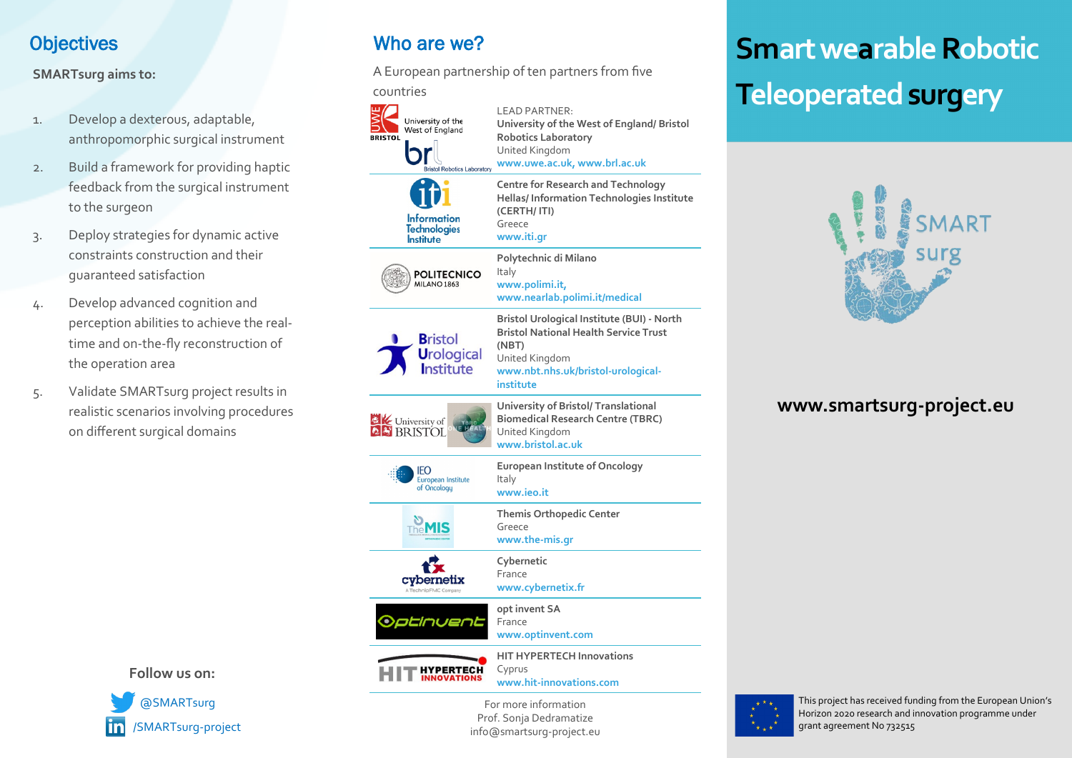#### **Objectives**

#### **SMARTsurg aims to:**

- 1. Develop a dexterous, adaptable, anthropomorphic surgical instrument
- 2. Build a framework for providing haptic feedback from the surgical instrument to the surgeon
- 3. Deploy strategies for dynamic active constraints construction and their guaranteed satisfaction
- 4. Develop advanced cognition and perception abilities to achieve the realtime and on-the-fly reconstruction of the operation area
- 5. Validate SMARTsurg project results in realistic scenarios involving procedures on different surgical domains

**Follow us on:**



## Who are we?

A European partnership of ten partners from five

countries



**www.iti.gr Polytechnic di Milano www.polimi.it, www.nearlab.polimi.it/medical Bristol Urological Institute (BUI) - North Bristol National Health Service Trust**  United Kingdom **www.nbt.nhs.uk/bristol-urological-University of Bristol/ Translational Biomedical Research Centre (TBRC)** United Kingdom **www.bristol.ac.uk European Institute of Oncology** European Institute Italy **www.ieo.it Themis Orthopedic Center** Greece **www.the-mis.gr Cybernetic** France **www.cybernetix.fr opt invent SA** Optinuent France **www.optinvent.com** 



of Oncology

The MIS

 $\frac{1}{2}$ cybernetix

> **HIT HYPERTECH Innovations** Cyprus **www.hit-innovations.com**

For more information Prof. Sonja Dedramatize info@smartsurg-project.eu

# **Smart wearable Robotic Teleoperated surgery**



#### **www.smartsurg-project.eu**



This project has received funding from the European Union's Horizon 2020 research and innovation programme under grant agreement No 732515